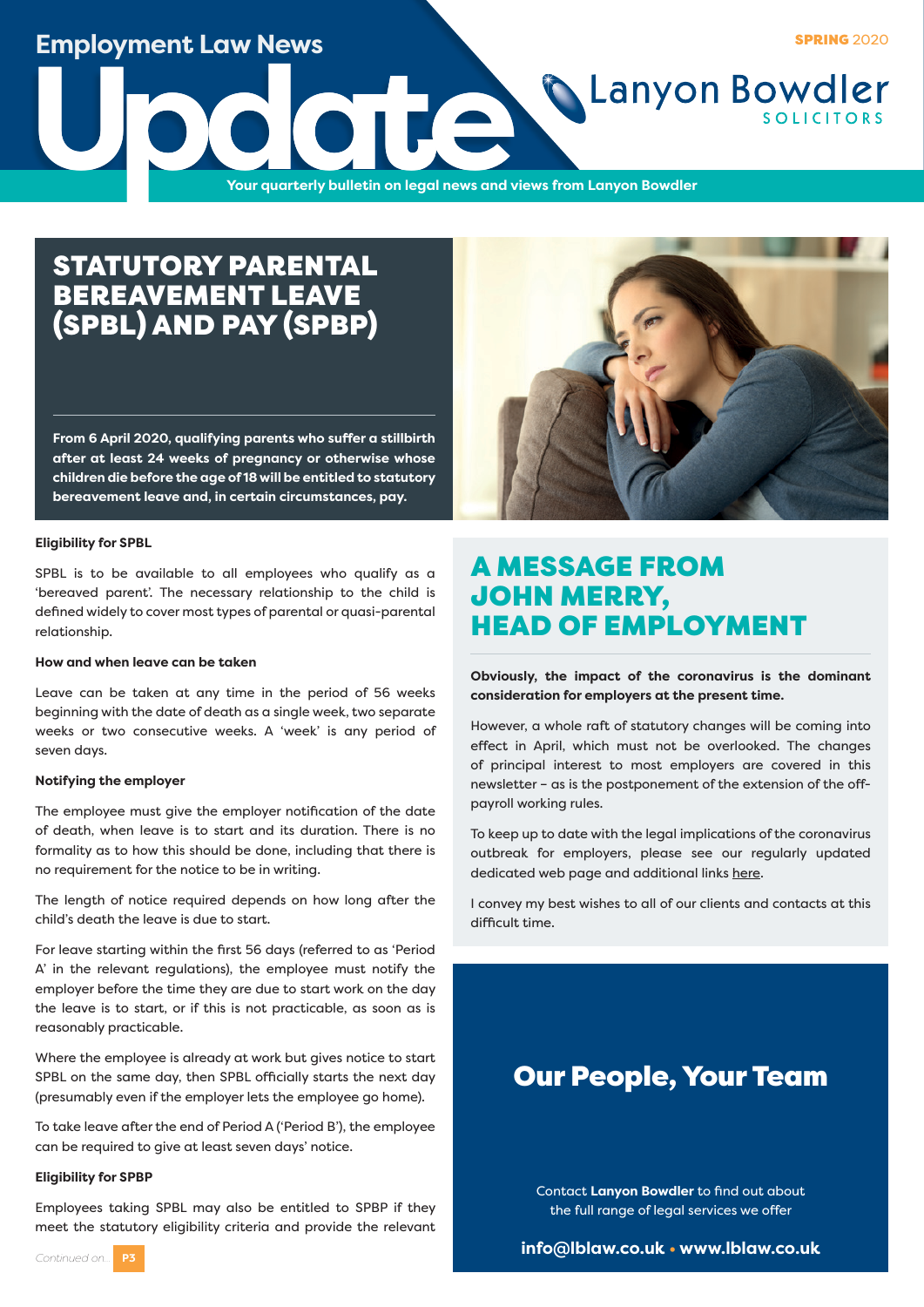# **Employment Law News**

**SPRING 2020** 

**Update**<br>The Vour quarterly bulletin on legal news and v **Your quarterly bulletin on legal news and views from Lanyon Bowdler**

# STATUTORY PARENTAL BEREAVEMENT LEAVE (SPBL) AND PAY (SPBP)

**From 6 April 2020, qualifying parents who suffer a stillbirth after at least 24 weeks of pregnancy or otherwise whose children die before the age of 18 will be entitled to statutory bereavement leave and, in certain circumstances, pay.**

### **Eligibility for SPBL**

SPBL is to be available to all employees who qualify as a 'bereaved parent'. The necessary relationship to the child is defined widely to cover most types of parental or quasi-parental relationship.

### **How and when leave can be taken**

Leave can be taken at any time in the period of 56 weeks beginning with the date of death as a single week, two separate weeks or two consecutive weeks. A 'week' is any period of seven days.

### **Notifying the employer**

The employee must give the employer notification of the date of death, when leave is to start and its duration. There is no formality as to how this should be done, including that there is no requirement for the notice to be in writing.

The length of notice required depends on how long after the child's death the leave is due to start.

For leave starting within the first 56 days (referred to as 'Period A' in the relevant regulations), the employee must notify the employer before the time they are due to start work on the day the leave is to start, or if this is not practicable, as soon as is reasonably practicable.

Where the employee is already at work but gives notice to start SPBL on the same day, then SPBL officially starts the next day (presumably even if the employer lets the employee go home).

To take leave after the end of Period A ('Period B'), the employee can be required to give at least seven days' notice.

## **Eligibility for SPBP**

Employees taking SPBL may also be entitled to SPBP if they meet the statutory eligibility criteria and provide the relevant

# A MESSAGE FROM JOHN MERRY, HEAD OF EMPLOYMENT

**Obviously, the impact of the coronavirus is the dominant consideration for employers at the present time.** 

However, a whole raft of statutory changes will be coming into effect in April, which must not be overlooked. The changes of principal interest to most employers are covered in this newsletter – as is the postponement of the extension of the offpayroll working rules.

To keep up to date with the legal implications of the coronavirus outbreak for employers, please see our regularly updated dedicated web page and additional links [here.](https://www.lblaw.co.uk/services-for-business/employment-law-for-employers/coronavirus)

I convey my best wishes to all of our clients and contacts at this difficult time.

# Our People, Your Team

Contact **Lanyon Bowdler** to find out about the full range of legal services we offer

**info@lblaw.co.uk • www.lblaw.co.uk**



**Lanyon Bowdler**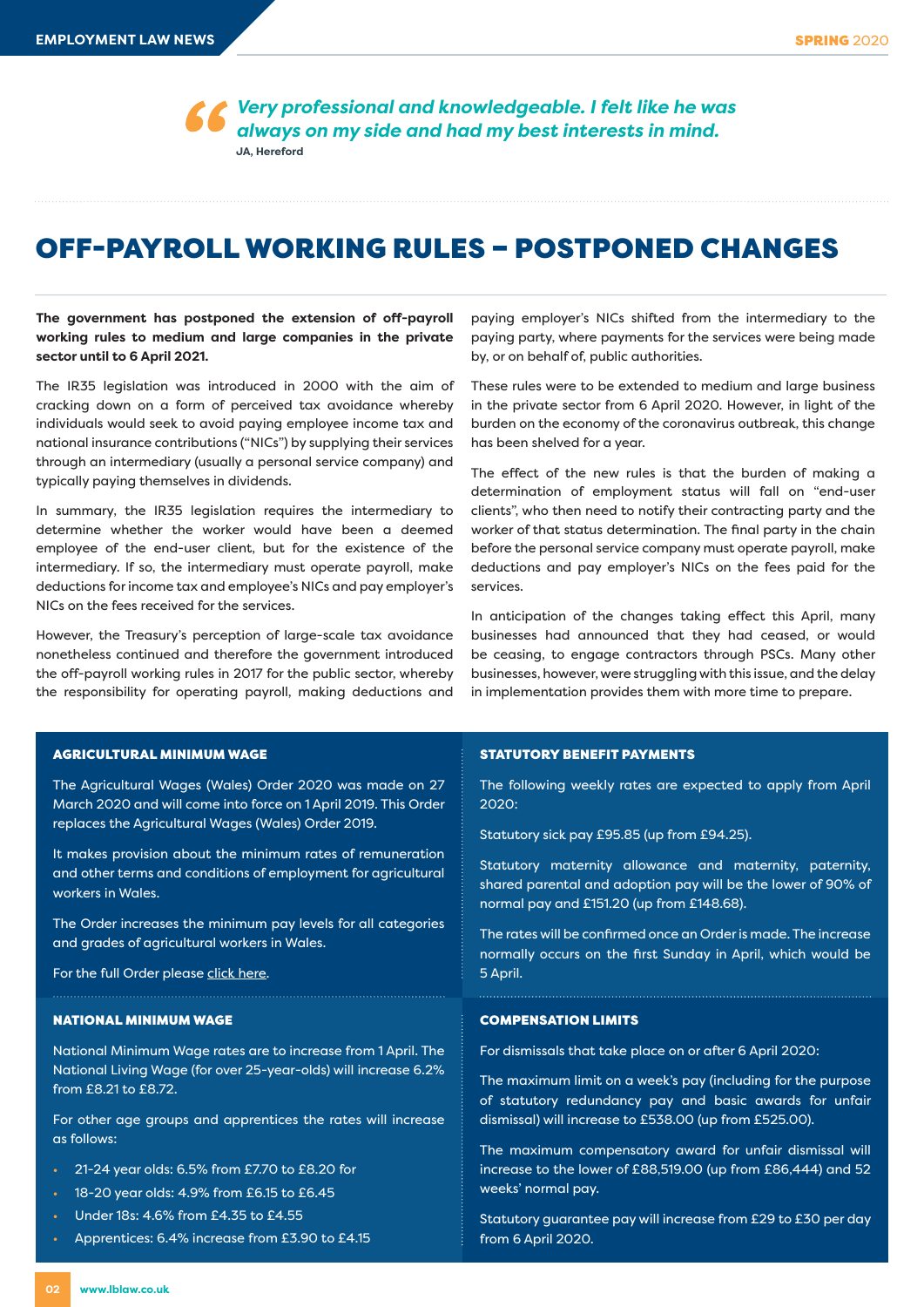*Very professional and knowledgeable. I felt like he was always on my side and had my best interests in mind.*  **JA, Hereford**

# OFF-PAYROLL WORKING RULES – POSTPONED CHANGES

**The government has postponed the extension of off-payroll working rules to medium and large companies in the private sector until to 6 April 2021.**

The IR35 legislation was introduced in 2000 with the aim of cracking down on a form of perceived tax avoidance whereby individuals would seek to avoid paying employee income tax and national insurance contributions ("NICs") by supplying their services through an intermediary (usually a personal service company) and typically paying themselves in dividends.

In summary, the IR35 legislation requires the intermediary to determine whether the worker would have been a deemed employee of the end-user client, but for the existence of the intermediary. If so, the intermediary must operate payroll, make deductions for income tax and employee's NICs and pay employer's NICs on the fees received for the services.

However, the Treasury's perception of large-scale tax avoidance nonetheless continued and therefore the government introduced the off-payroll working rules in 2017 for the public sector, whereby the responsibility for operating payroll, making deductions and

paying employer's NICs shifted from the intermediary to the paying party, where payments for the services were being made by, or on behalf of, public authorities.

These rules were to be extended to medium and large business in the private sector from 6 April 2020. However, in light of the burden on the economy of the coronavirus outbreak, this change has been shelved for a year.

The effect of the new rules is that the burden of making a determination of employment status will fall on "end-user clients", who then need to notify their contracting party and the worker of that status determination. The final party in the chain before the personal service company must operate payroll, make deductions and pay employer's NICs on the fees paid for the services.

In anticipation of the changes taking effect this April, many businesses had announced that they had ceased, or would be ceasing, to engage contractors through PSCs. Many other businesses, however, were struggling with this issue, and the delay in implementation provides them with more time to prepare.

| <b>AGRICULTURAL MINIMUM WAGE</b>                                                                                                                                                                                                                                                                                                                   | <b>STATUTORY BENEFIT PAYMENTS</b>                                                                                                                                                                                                                                                                                                                                                               |
|----------------------------------------------------------------------------------------------------------------------------------------------------------------------------------------------------------------------------------------------------------------------------------------------------------------------------------------------------|-------------------------------------------------------------------------------------------------------------------------------------------------------------------------------------------------------------------------------------------------------------------------------------------------------------------------------------------------------------------------------------------------|
| The Agricultural Wages (Wales) Order 2020 was made on 27<br>March 2020 and will come into force on 1 April 2019. This Order<br>replaces the Agricultural Wages (Wales) Order 2019.                                                                                                                                                                 | The following weekly rates are expected to apply from April<br>2020:                                                                                                                                                                                                                                                                                                                            |
| It makes provision about the minimum rates of remuneration<br>and other terms and conditions of employment for agricultural<br>workers in Wales.                                                                                                                                                                                                   | Statutory sick pay £95.85 (up from £94.25).<br>Statutory maternity allowance and maternity, paternity,<br>shared parental and adoption pay will be the lower of 90% of<br>normal pay and £151.20 (up from £148.68).                                                                                                                                                                             |
| The Order increases the minimum pay levels for all categories<br>and grades of agricultural workers in Wales.                                                                                                                                                                                                                                      | The rates will be confirmed once an Order is made. The increase<br>normally occurs on the first Sunday in April, which would be                                                                                                                                                                                                                                                                 |
| For the full Order please click here.                                                                                                                                                                                                                                                                                                              | 5 April.                                                                                                                                                                                                                                                                                                                                                                                        |
|                                                                                                                                                                                                                                                                                                                                                    |                                                                                                                                                                                                                                                                                                                                                                                                 |
| <b>NATIONAL MINIMUM WAGE</b>                                                                                                                                                                                                                                                                                                                       | <b>COMPENSATION LIMITS</b>                                                                                                                                                                                                                                                                                                                                                                      |
| National Minimum Wage rates are to increase from 1 April. The<br>National Living Wage (for over 25-year-olds) will increase 6.2%<br>from £8.21 to £8.72.<br>For other age groups and apprentices the rates will increase<br>as follows:<br>21-24 year olds: 6.5% from £7.70 to £8.20 for<br>$\bullet$<br>18-20 year olds: 4.9% from £6.15 to £6.45 | For dismissals that take place on or after 6 April 2020:<br>The maximum limit on a week's pay (including for the purpose<br>of statutory redundancy pay and basic awards for unfair<br>dismissal) will increase to £538.00 (up from £525.00).<br>The maximum compensatory award for unfair dismissal will<br>increase to the lower of £88,519.00 (up from £86,444) and 52<br>weeks' normal pay. |

#### **02 www.lblaw.co.uk**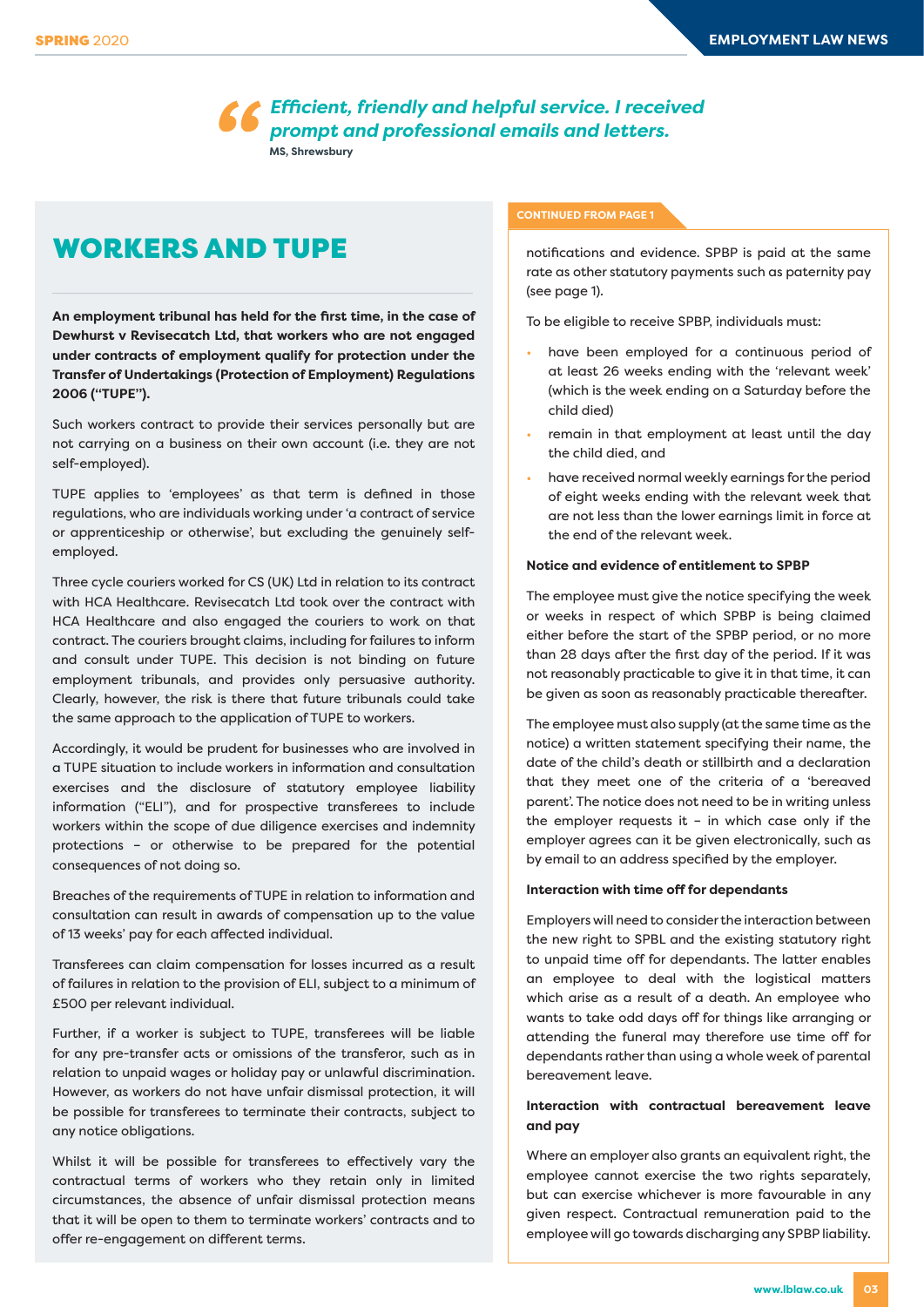*Efficient, friendly and helpful service. I received prompt and professional emails and letters.*  **MS, Shrewsbury**

# WORKERS AND TUPE

**An employment tribunal has held for the first time, in the case of Dewhurst v Revisecatch Ltd, that workers who are not engaged under contracts of employment qualify for protection under the Transfer of Undertakings (Protection of Employment) Regulations 2006 ("TUPE").** 

Such workers contract to provide their services personally but are not carrying on a business on their own account (i.e. they are not self-employed).

TUPE applies to 'employees' as that term is defined in those regulations, who are individuals working under 'a contract of service or apprenticeship or otherwise', but excluding the genuinely selfemployed.

Three cycle couriers worked for CS (UK) Ltd in relation to its contract with HCA Healthcare. Revisecatch Ltd took over the contract with HCA Healthcare and also engaged the couriers to work on that contract. The couriers brought claims, including for failures to inform and consult under TUPE. This decision is not binding on future employment tribunals, and provides only persuasive authority. Clearly, however, the risk is there that future tribunals could take the same approach to the application of TUPE to workers.

Accordingly, it would be prudent for businesses who are involved in a TUPE situation to include workers in information and consultation exercises and the disclosure of statutory employee liability information ("ELI"), and for prospective transferees to include workers within the scope of due diligence exercises and indemnity protections – or otherwise to be prepared for the potential consequences of not doing so.

Breaches of the requirements of TUPE in relation to information and consultation can result in awards of compensation up to the value of 13 weeks' pay for each affected individual.

Transferees can claim compensation for losses incurred as a result of failures in relation to the provision of ELI, subject to a minimum of £500 per relevant individual.

Further, if a worker is subject to TUPE, transferees will be liable for any pre-transfer acts or omissions of the transferor, such as in relation to unpaid wages or holiday pay or unlawful discrimination. However, as workers do not have unfair dismissal protection, it will be possible for transferees to terminate their contracts, subject to any notice obligations.

Whilst it will be possible for transferees to effectively vary the contractual terms of workers who they retain only in limited circumstances, the absence of unfair dismissal protection means that it will be open to them to terminate workers' contracts and to offer re-engagement on different terms.

### **CONTINUED FROM PAGE 1**

notifications and evidence. SPBP is paid at the same rate as other statutory payments such as paternity pay (see page 1).

To be eligible to receive SPBP, individuals must:

- have been employed for a continuous period of at least 26 weeks ending with the 'relevant week' (which is the week ending on a Saturday before the child died)
- remain in that employment at least until the day the child died, and
- have received normal weekly earnings for the period of eight weeks ending with the relevant week that are not less than the lower earnings limit in force at the end of the relevant week.

#### **Notice and evidence of entitlement to SPBP**

The employee must give the notice specifying the week or weeks in respect of which SPBP is being claimed either before the start of the SPBP period, or no more than 28 days after the first day of the period. If it was not reasonably practicable to give it in that time, it can be given as soon as reasonably practicable thereafter.

The employee must also supply (at the same time as the notice) a written statement specifying their name, the date of the child's death or stillbirth and a declaration that they meet one of the criteria of a 'bereaved parent'. The notice does not need to be in writing unless the employer requests it - in which case only if the employer agrees can it be given electronically, such as by email to an address specified by the employer.

# **Interaction with time off for dependants**

Employers will need to consider the interaction between the new right to SPBL and the existing statutory right to unpaid time off for dependants. The latter enables an employee to deal with the logistical matters which arise as a result of a death. An employee who wants to take odd days off for things like arranging or attending the funeral may therefore use time off for dependants rather than using a whole week of parental bereavement leave.

# **Interaction with contractual bereavement leave and pay**

Where an employer also grants an equivalent right, the employee cannot exercise the two rights separately, but can exercise whichever is more favourable in any given respect. Contractual remuneration paid to the employee will go towards discharging any SPBP liability.